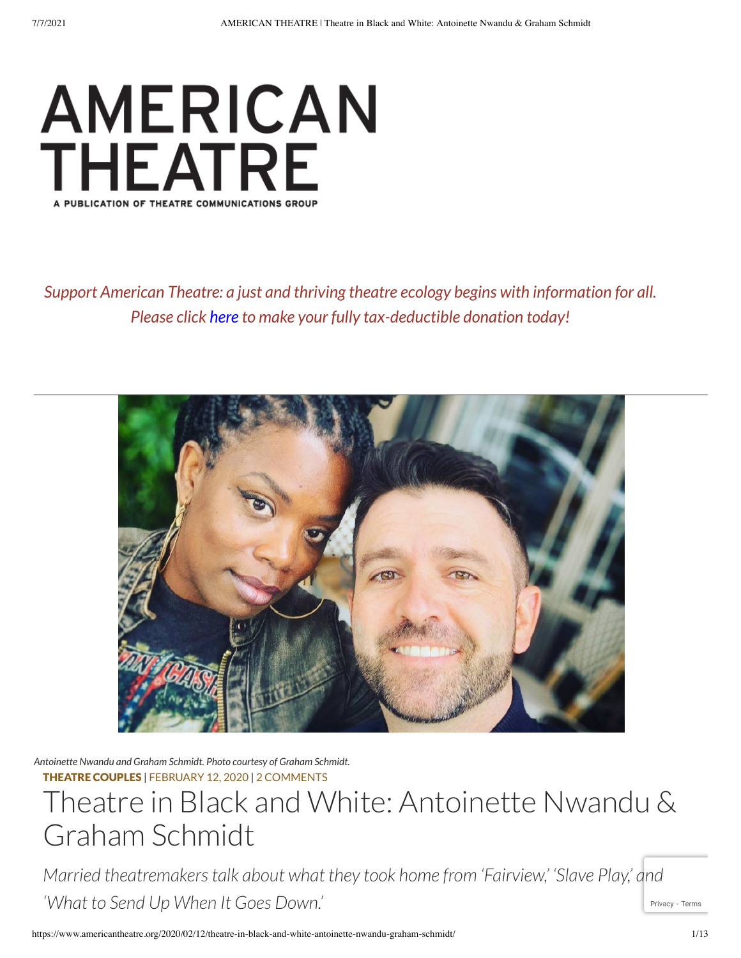

*Support American Theatre: a just and thriving theatre ecology begins with information for all. Please click [here](https://www.tcg.org/AboutUs/DonateNow.aspx) to make your fully tax-deductible donation today!*



*Antoinette Nwandu and Graham Schmidt. Photo courtesy of Graham Schmidt.* THEATRE [COUPLES](https://www.americantheatre.org/category/feature/theatre-couples/) | [FEBRUARY](https://www.americantheatre.org/2020/02/12/theatre-in-black-and-white-antoinette-nwandu-graham-schmidt/) 12, 2020 | 2 COMMENTS

# Theatre in Black and White: Antoinette Nwandu & Graham Schmidt

[Privacy](https://www.google.com/intl/en/policies/privacy/) - [Terms](https://www.google.com/intl/en/policies/terms/) *Married theatremakerstalk about what they took home from 'Fairview,' 'Slave Play,' and 'What to Send Up When It Goes Down.'*

https://www.americantheatre.org/2020/02/12/theatre-in-black-and-white-antoinette-nwandu-graham-schmidt/ 1/13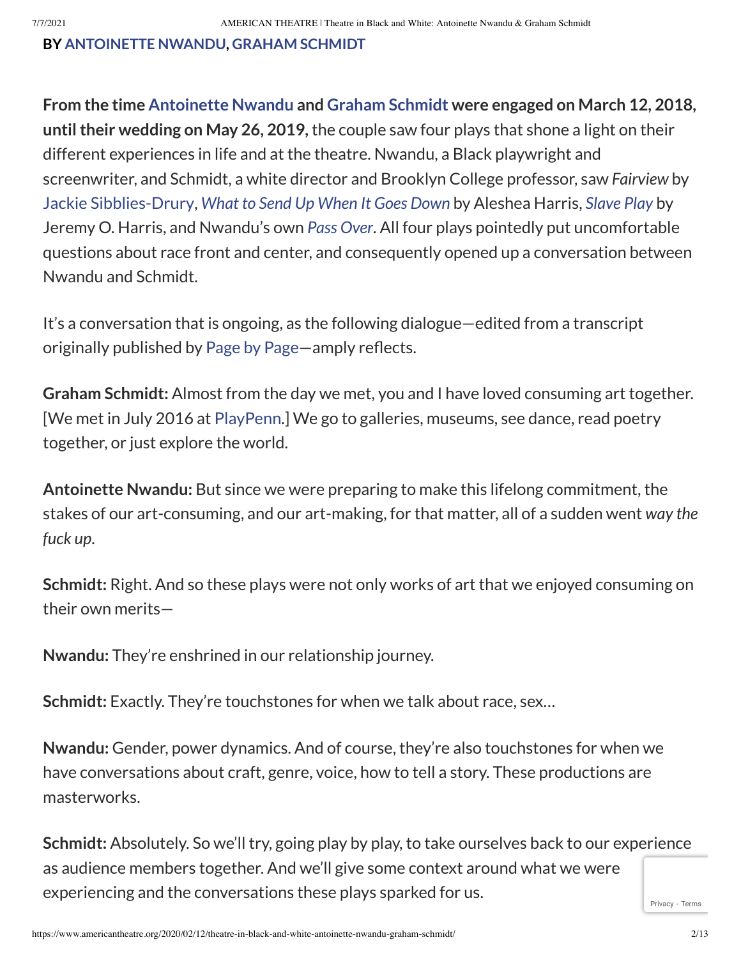#### **BY [ANTOINETTE](https://www.americantheatre.org/byline/antoinette-nwandu/) NWANDU, GRAHAM [SCHMIDT](https://www.americantheatre.org/byline/graham-schmidt/)**

**From the time [Antoinette](http://antoinettenwandu.com/bio) Nwandu and Graham [Schmidt](https://www.grahamschmidt.com/) were engaged on March 12, 2018, untiltheir wedding on May 26, 2019,** the couple saw four plays that shone a light on their different experiences in life and at the theatre. Nwandu, a Black playwright and screenwriter, and Schmidt, a white director and Brooklyn College professor, saw *Fairview* by Jackie [Sibblies-Drury,](https://www.americantheatre.org/2019/05/29/jackie-sibblies-drury-thinking-and-feeling/) *What to Send Up [When](https://www.americantheatre.org/2019/04/05/what-to-send-up-when-it-goes-down-a-black-gaze/) It Goes Down* by Aleshea Harris, *[Slave](https://www.americantheatre.org/2019/07/01/slave-play-racism-doesnt-have-a-safe-word/) Play* by Jeremy O. Harris, and Nwandu's own *Pass [Over](https://www.americantheatre.org/2018/08/28/the-deep-roots-and-radical-joy-of-antoinette-nwandus-pass-over/)*. All four plays pointedly put uncomfortable questions about race front and center, and consequently opened up a conversation between Nwandu and Schmidt.

It's a conversation that is ongoing, as the following dialogue—edited from a transcript originally published by [Page](https://www.patreon.com/PageByPage) by Page—amply reflects.

**Graham Schmidt:** Almost from the day we met, you and I have loved consuming art together. [We met in July 2016 at [PlayPenn.](https://www.americantheatre.org/2015/07/20/playpenn-where-the-playwrights-in-charge/)] We go to galleries, museums, see dance, read poetry together, or just explore the world.

**Antoinette Nwandu:** But since we were preparing to make this lifelong commitment, the stakes of our art-consuming, and our art-making, for that matter, all of a sudden went *way the fuck up*.

**Schmidt:** Right. And so these plays were not only works of art that we enjoyed consuming on their own merits—

**Nwandu:** They're enshrined in our relationship journey.

**Schmidt:** Exactly. They're touchstones for when we talk about race, sex…

**Nwandu:** Gender, power dynamics. And of course, they're also touchstones for when we have conversations about craft, genre, voice, how to tell a story. These productions are masterworks.

**Schmidt:** Absolutely. So we'll try, going play by play, to take ourselves back to our experience as audience members together. And we'll give some context around what we were experiencing and the conversations these plays sparked for us.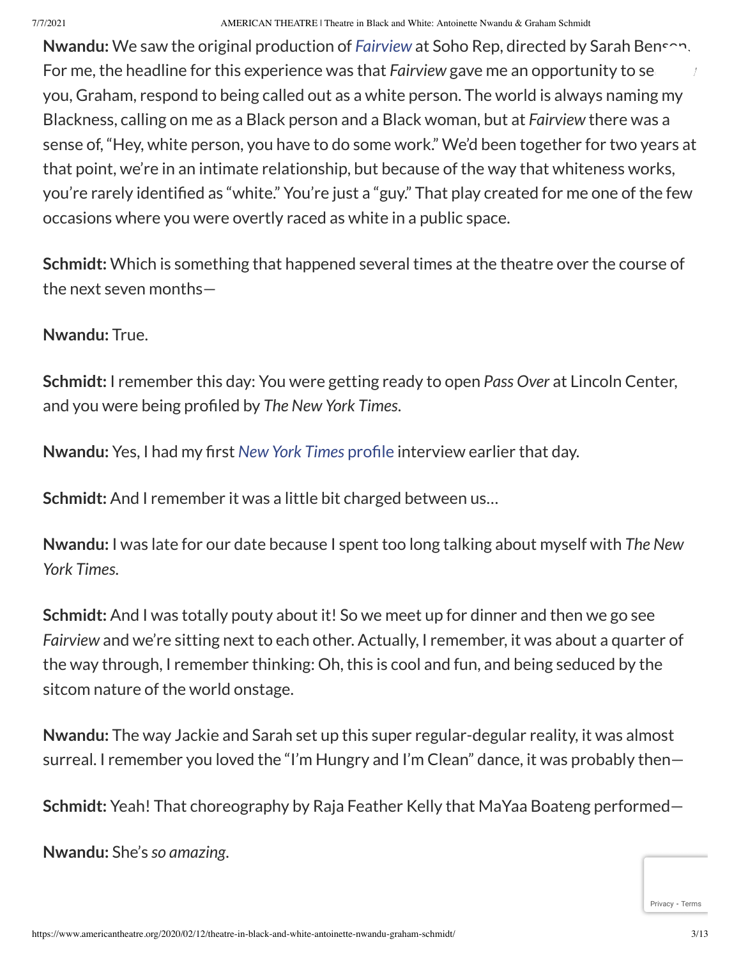**Nwandu:** We saw the original production of *[Fairview](https://www.americantheatre.org/2019/04/15/jackie-sibblies-drury-wins-2019-pulitzer-prize-for-fairview/)* at Soho Rep, directed by Sarah Benson. For me, the headline for this experience was that *Fairview* gave me an opportunity to see you, Graham, respond to being called out as a white person. The world is always naming my Blackness, calling on me as a Black person and a Black woman, but at *Fairview* there was a sense of, "Hey, white person, you have to do some work." We'd been together for two years at that point, we're in an intimate relationship, but because of the way that whiteness works, you're rarely identified as "white." You're just a "guy." That play created for me one of the few occasions where you were overtly raced as white in a public space.

**Schmidt:** Which is something that happened several times at the theatre over the course of the next seven months—

### **Nwandu:** True.

**Schmidt:** I remember this day: You were getting ready to open *Pass Over* at Lincoln Center, and you were being profiled by *The New York Times*.

**Nwandu:** Yes, I had my first *New York Times* [profile](https://www.nytimes.com/2018/06/12/theater/antoinette-nwandu-pass-over.html) interview earlier that day.

**Schmidt:** And I remember it was a little bit charged between us…

**Nwandu:** I was late for our date because I spent too long talking about myself with *The New York Times*.

**Schmidt:** And I was totally pouty about it! So we meet up for dinner and then we go see *Fairview* and we're sitting next to each other. Actually, I remember, it was about a quarter of the way through, I remember thinking: Oh, this is cool and fun, and being seduced by the sitcom nature of the world onstage.

**Nwandu:** The way Jackie and Sarah set up this super regular-degular reality, it was almost surreal. I remember you loved the "I'm Hungry and I'm Clean" dance, it was probably then—

**Schmidt:** Yeah! That choreography by Raja Feather Kelly that MaYaa Boateng performed—

**Nwandu:** She's *so amazing*.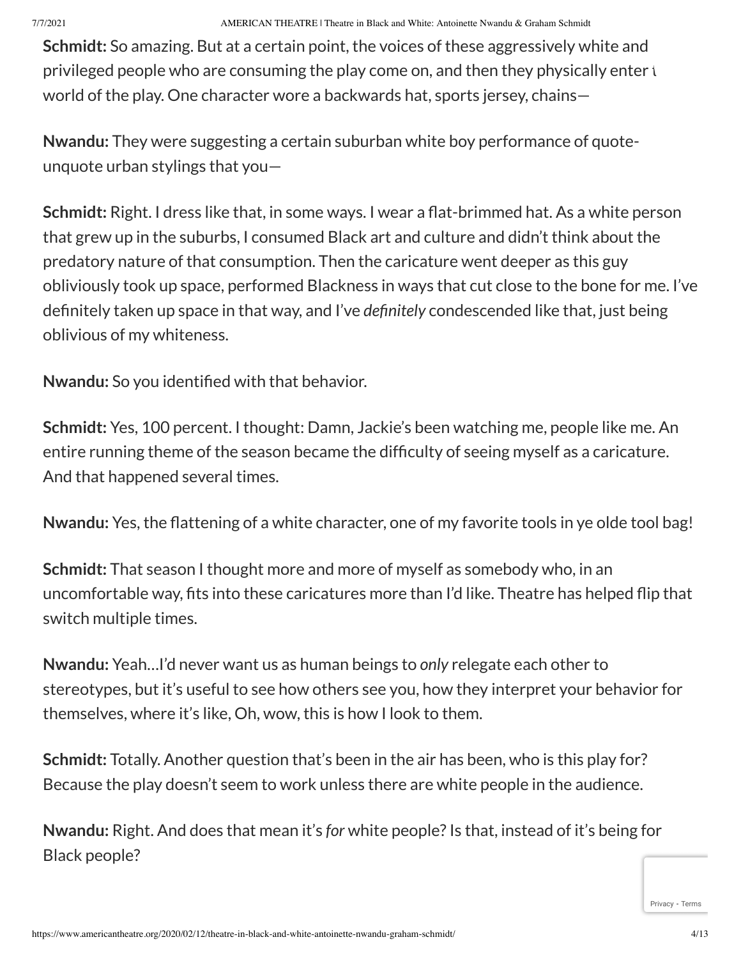**Schmidt:** So amazing. But at a certain point, the voices of these aggressively white and privileged people who are consuming the play come on, and then they physically enter  $t$ world of the play. One character wore a backwards hat, sports jersey, chains—

**Nwandu:** They were suggesting a certain suburban white boy performance of quoteunquote urban stylings that you—

**Schmidt:** Right. I dress like that, in some ways. I wear a flat-brimmed hat. As a white person that grew up in the suburbs, I consumed Black art and culture and didn't think about the predatory nature of that consumption. Then the caricature went deeper as this guy obliviously took up space, performed Blackness in ways that cut close to the bone for me. I've definitely taken up space in that way, and I've *definitely* condescended like that, just being oblivious of my whiteness.

**Nwandu:** So you identified with that behavior.

**Schmidt:** Yes, 100 percent. I thought: Damn, Jackie's been watching me, people like me. An entire running theme of the season became the difficulty of seeing myself as a caricature. And that happened several times.

**Nwandu:** Yes, the flattening of a white character, one of my favorite tools in ye olde tool bag!

**Schmidt:** That season I thought more and more of myself as somebody who, in an uncomfortable way, fits into these caricatures more than I'd like. Theatre has helped flip that switch multiple times.

**Nwandu:** Yeah…I'd never want us as human beings to *only* relegate each other to stereotypes, but it's useful to see how others see you, how they interpret your behavior for themselves, where it's like, Oh, wow, this is how I look to them.

**Schmidt:** Totally. Another question that's been in the air has been, who is this play for? Because the play doesn't seem to work unless there are white people in the audience.

**Nwandu:** Right. And does that mean it's *for* white people?Is that, instead of it's being for Black people?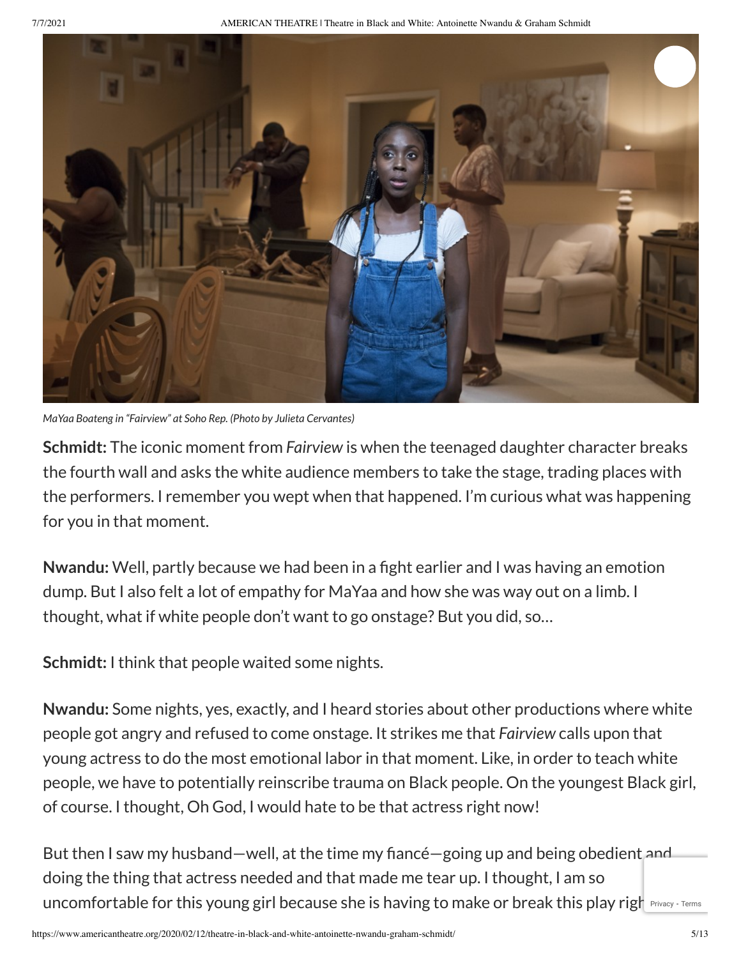7/7/2021 AMERICAN THEATRE | Theatre in Black and White: Antoinette Nwandu & Graham Schmidt



*MaYaa Boateng in "Fairview" at Soho Rep. (Photo by Julieta Cervantes)*

**Schmidt:** The iconic moment from *Fairview* is when the teenaged daughter character breaks the fourth wall and asks the white audience members to take the stage, trading places with the performers. I remember you wept when that happened. I'm curious what was happening for you in that moment.

**Nwandu:** Well, partly because we had been in a fight earlier and I was having an emotion dump. But I also felt a lot of empathy for MaYaa and how she was way out on a limb. I thought, what if white people don't want to go onstage? But you did, so…

**Schmidt:** I think that people waited some nights.

**Nwandu:** Some nights, yes, exactly, and I heard stories about other productions where white people got angry and refused to come onstage. It strikes me that *Fairview* calls upon that young actress to do the most emotional labor in that moment. Like, in order to teach white people, we have to potentially reinscribe trauma on Black people. On the youngest Black girl, of course. I thought, Oh God, I would hate to be that actress right now!

But then I saw my husband—well, at the time my fiancé—going up and being obedient and doing the thing that actress needed and that made me tear up. I thought, I am so uncomfortable for this young girl because she is having to make or break this play righ Privacy - [Terms](https://www.google.com/intl/en/policies/terms/)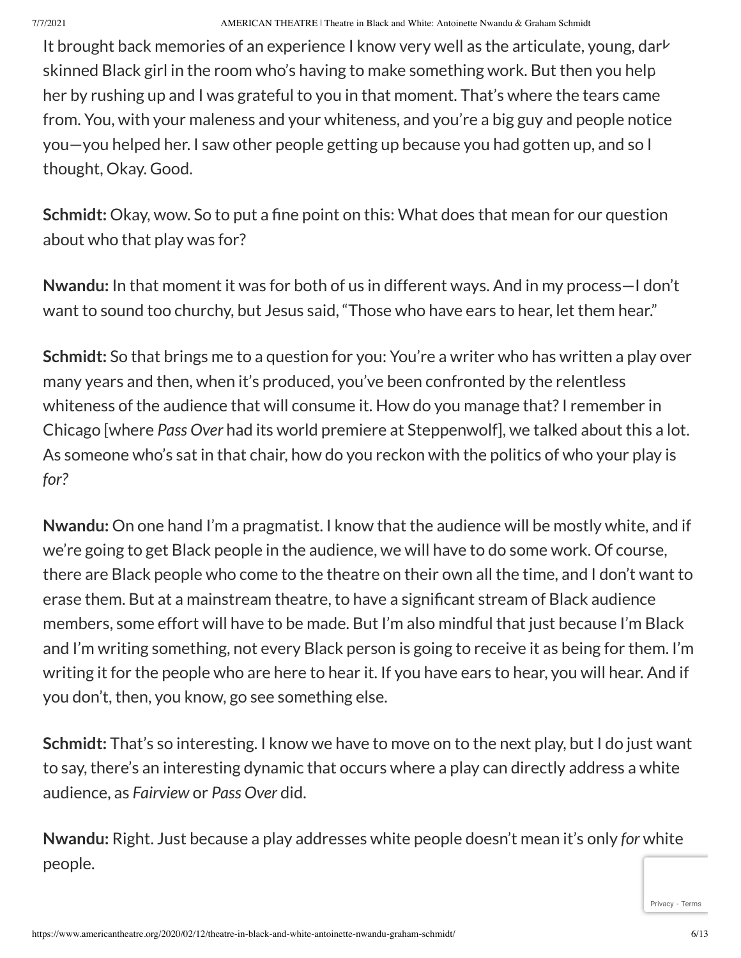It brought back memories of an experience I know very well as the articulate, young, darkskinned Black girl in the room who's having to make something work. But then you help her by rushing up and I was grateful to you in that moment. That's where the tears came from. You, with your maleness and your whiteness, and you're a big guy and people notice you—you helped her. I saw other people getting up because you had gotten up, and so I thought, Okay. Good.

**Schmidt:** Okay, wow. So to put a fine point on this: What does that mean for our question about who that play was for?

**Nwandu:** In that moment it was for both of us in different ways. And in my process—I don't want to sound too churchy, but Jesus said, "Those who have ears to hear, let them hear."

**Schmidt:** So that brings me to a question for you: You're a writer who has written a play over many years and then, when it's produced, you've been confronted by the relentless whiteness of the audience that will consume it. How do you manage that? I remember in Chicago [where *Pass Over* had its world premiere at Steppenwolf], we talked about this a lot. As someone who's sat in that chair, how do you reckon with the politics of who your play is *for?*

**Nwandu:** On one hand I'm a pragmatist. I know that the audience will be mostly white, and if we're going to get Black people in the audience, we will have to do some work. Of course, there are Black people who come to the theatre on their own all the time, and I don't want to erase them. But at a mainstream theatre, to have a significant stream of Black audience members, some effort will have to be made. But I'm also mindful that just because I'm Black and I'm writing something, not every Black person is going to receive it as being for them. I'm writing it for the people who are here to hear it. If you have ears to hear, you will hear. And if you don't, then, you know, go see something else.

**Schmidt:** That's so interesting. I know we have to move on to the next play, but I do just want to say, there's an interesting dynamic that occurs where a play can directly address a white audience, as *Fairview* or *Pass Over* did.

**Nwandu:** Right. Just because a play addresses white people doesn't mean it's only *for* white people.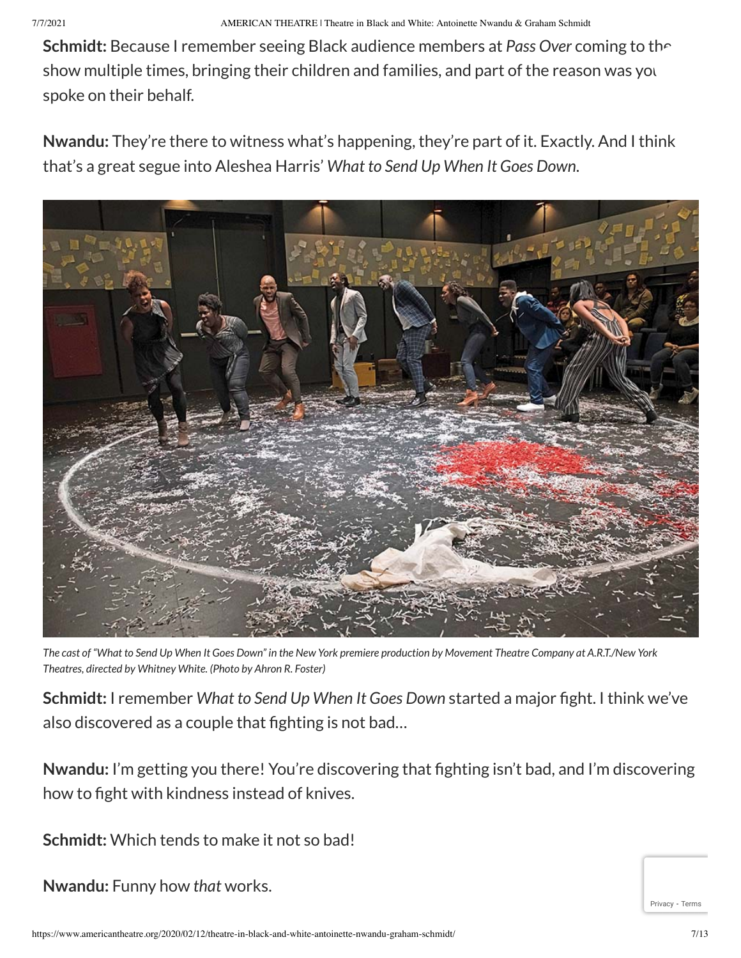**Schmidt:** Because I remember seeing Black audience members at *Pass Over* coming to the show multiple times, bringing their children and families, and part of the reason was you spoke on their behalf.

**Nwandu:** They're there to witness what's happening, they're part of it. Exactly. And I think that's a great segue into Aleshea Harris' *What to Send Up When It Goes Down*.



The cast of "What to Send Up When It Goes Down" in the New York premiere production by Movement Theatre Company at A.R.T./New York *Theatres, directed by Whitney White. (Photo by Ahron R. Foster)*

**Schmidt:** I remember *What to Send Up When It Goes Down* started a major fight. I think we've also discovered as a couple that fighting is not bad…

**Nwandu:** I'm getting you there! You're discovering that fighting isn't bad, and I'm discovering how to fight with kindness instead of knives.

**Schmidt:** Which tends to make it not so bad!

**Nwandu:** Funny how *that* works.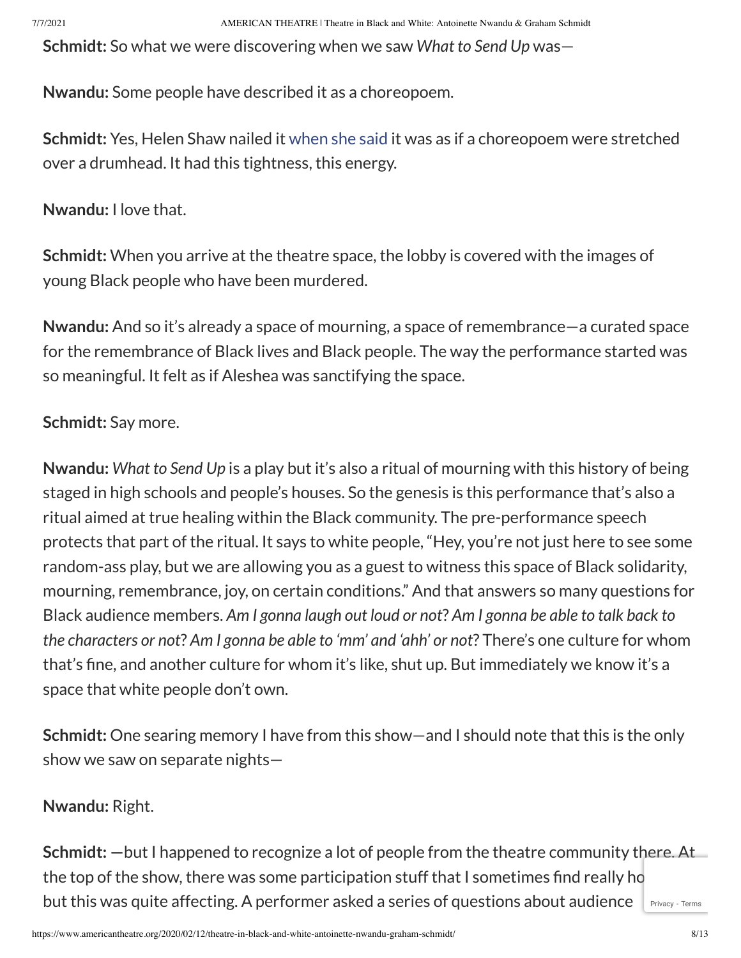**Schmidt:** So what we were discovering when we saw *What to Send Up* was—

**Nwandu:** Some people have described it as a choreopoem.

**Schmidt:** Yes, Helen Shaw nailed it [when](https://www.timeout.com/newyork/theater/what-to-send-up-when-it-goes-down) she said it was as if a choreopoem were stretched over a drumhead. It had this tightness, this energy.

**Nwandu:** I love that.

**Schmidt:** When you arrive at the theatre space, the lobby is covered with the images of young Black people who have been murdered.

**Nwandu:** And so it's already a space of mourning, a space of remembrance—a curated space for the remembrance of Black lives and Black people. The way the performance started was so meaningful. It felt as if Aleshea was sanctifying the space.

# **Schmidt:** Say more.

**Nwandu:** *What to Send Up* is a play but it's also a ritual of mourning with this history of being staged in high schools and people's houses. So the genesis is this performance that's also a ritual aimed at true healing within the Black community. The pre-performance speech protects that part of the ritual. It says to white people, "Hey, you're not just here to see some random-ass play, but we are allowing you as a guest to witness this space of Black solidarity, mourning, remembrance, joy, on certain conditions." And that answers so many questions for Black audience members. *Am I gonna laugh out loud or not*? *Am I gonna be able to talk back to the characters or not*? *Am I gonna be able to 'mm' and 'ahh' or not*? There's one culture for whom that's fine, and another culture for whom it's like, shut up. But immediately we know it's a space that white people don't own.

**Schmidt:** One searing memory I have from this show—and I should note that this is the only show we saw on separate nights—

# **Nwandu:** Right.

**Schmidt: —**but I happened to recognize a lot of people from the theatre community there. At the top of the show, there was some participation stuff that I sometimes find really ho but this was quite affecting. A performer asked a series of questions about audience [Privacy](https://www.google.com/intl/en/policies/privacy/) - [Terms](https://www.google.com/intl/en/policies/terms/)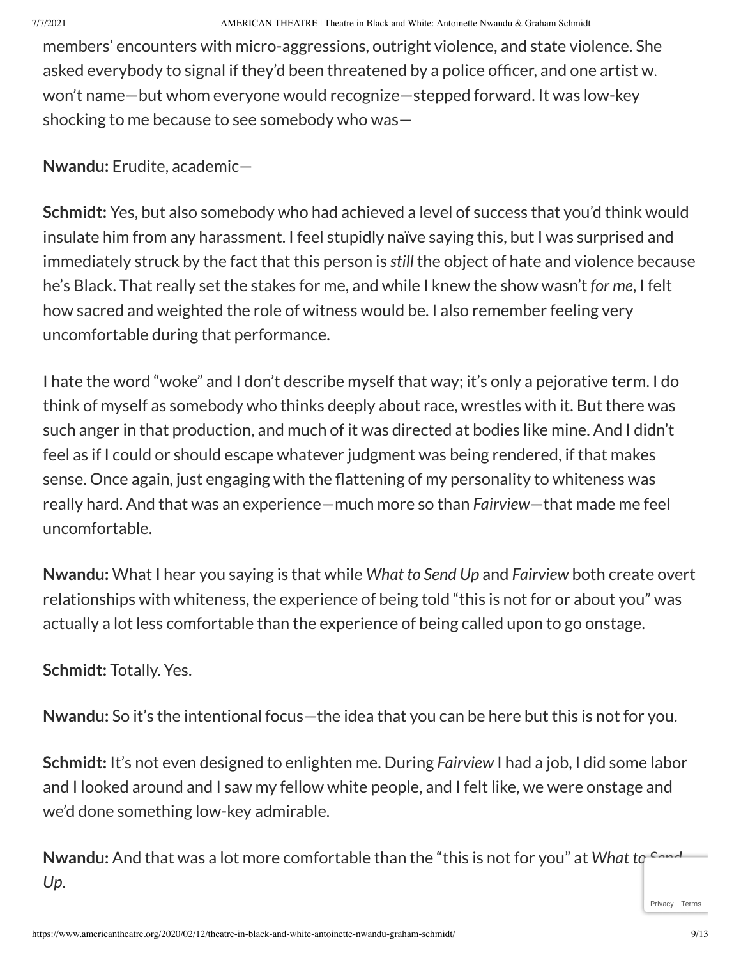members' encounters with micro-aggressions, outright violence, and state violence. She asked everybody to signal if they'd been threatened by a police officer, and one artist w. won't name—but whom everyone would recognize—stepped forward. It was low-key shocking to me because to see somebody who was—

**Nwandu:** Erudite, academic—

**Schmidt:** Yes, but also somebody who had achieved a level of success that you'd think would insulate him from any harassment. I feel stupidly naïve saying this, but I was surprised and immediately struck by the fact that this person is *still* the object of hate and violence because he's Black. That really set the stakes for me, and while I knew the show wasn't *for me*, I felt how sacred and weighted the role of witness would be. I also remember feeling very uncomfortable during that performance.

I hate the word "woke" and I don't describe myself that way; it's only a pejorative term. I do think of myself as somebody who thinks deeply about race, wrestles with it. But there was such anger in that production, and much of it was directed at bodies like mine. And I didn't feel as if I could or should escape whatever judgment was being rendered, if that makes sense. Once again, just engaging with the flattening of my personality to whiteness was really hard. And that was an experience—much more so than *Fairview*—that made me feel uncomfortable.

**Nwandu:** What I hear you saying is that while *What to Send Up* and *Fairview* both create overt relationships with whiteness, the experience of being told "this is not for or about you" was actually a lot less comfortable than the experience of being called upon to go onstage.

**Schmidt:** Totally. Yes.

**Nwandu:** So it's the intentional focus—the idea that you can be here but this is not for you.

**Schmidt:** It's not even designed to enlighten me. During *Fairview* I had a job, I did some labor and I looked around and I saw my fellow white people, and I felt like, we were onstage and we'd done something low-key admirable.

**Nwandu:** And that was a lot more comfortable than the "this is not for you" at *What to Send Up*.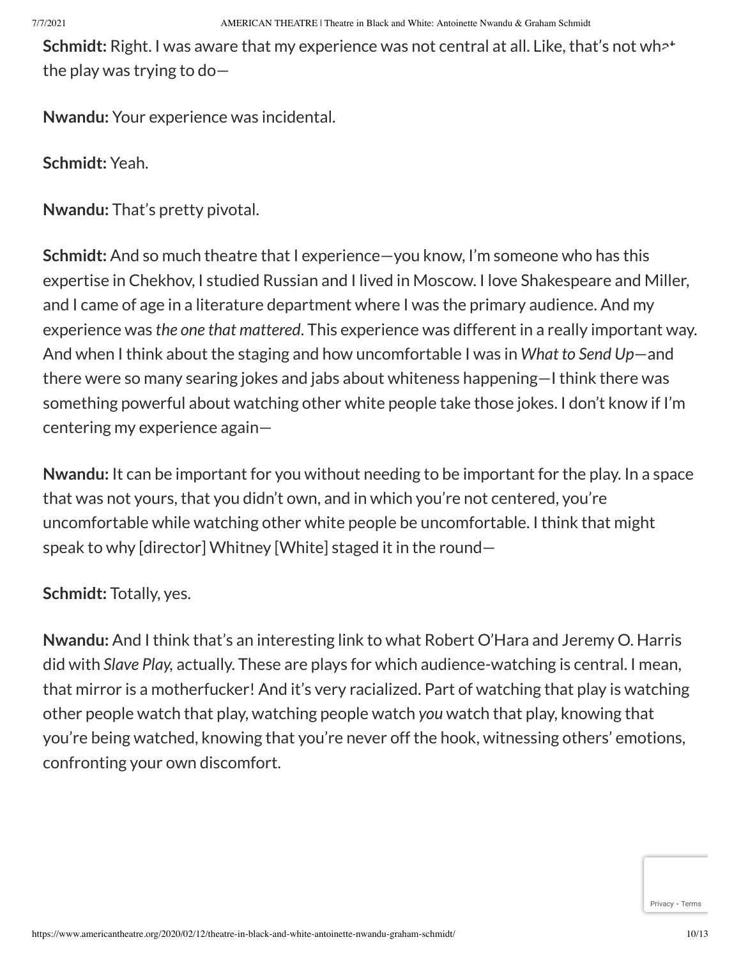**Schmidt:** Right. I was aware that my experience was not central at all. Like, that's not wh<sup>2+</sup> the play was trying to do—

**Nwandu:** Your experience was incidental.

**Schmidt:** Yeah.

**Nwandu:** That's pretty pivotal.

**Schmidt:** And so much theatre that I experience—you know, I'm someone who has this expertise in Chekhov, I studied Russian and I lived in Moscow. I love Shakespeare and Miller, and I came of age in a literature department where I was the primary audience. And my experience was *the one that mattered*. This experience was different in a really important way. And when I think about the staging and how uncomfortable I was in *What to Send Up*—and there were so many searing jokes and jabs about whiteness happening—I think there was something powerful about watching other white people take those jokes. I don't know if I'm centering my experience again—

**Nwandu:** It can be important for you without needing to be important for the play. In a space that was not yours, that you didn't own, and in which you're not centered, you're uncomfortable while watching other white people be uncomfortable. I think that might speak to why [director] Whitney [White] staged it in the round—

**Schmidt:** Totally, yes.

**Nwandu:** And I think that's an interesting link to what Robert O'Hara and Jeremy O. Harris did with *Slave Play,* actually. These are plays for which audience-watching is central. I mean, that mirror is a motherfucker! And it's very racialized. Part of watching that play is watching other people watch that play, watching people watch *you* watch that play, knowing that you're being watched, knowing that you're never off the hook, witnessing others' emotions, confronting your own discomfort.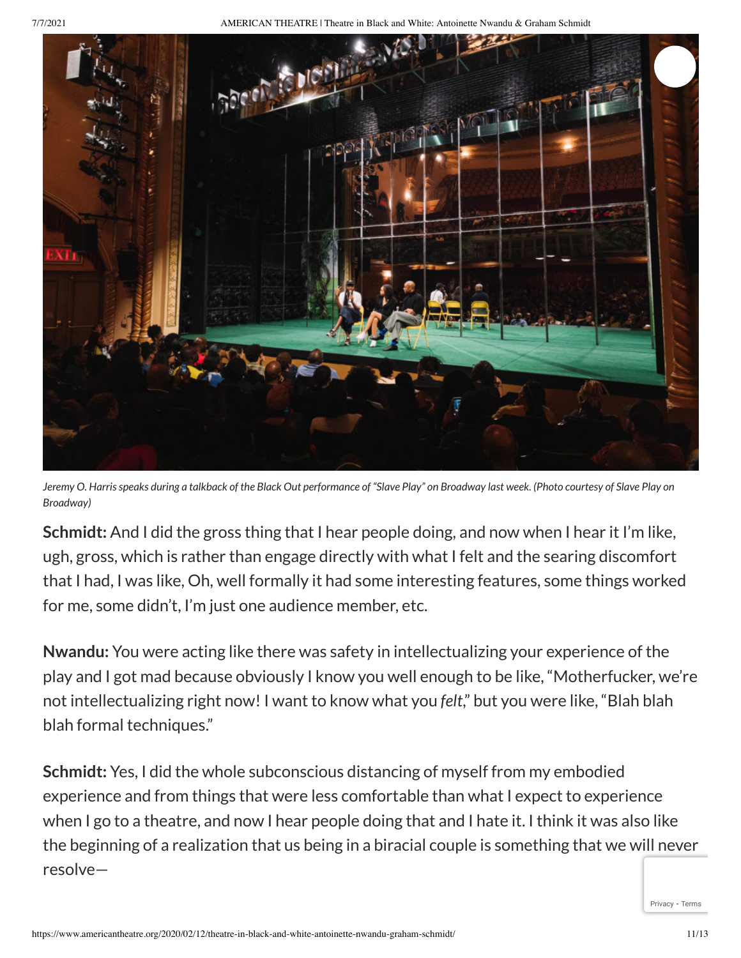7/7/2021 AMERICAN THEATRE | Theatre in Black and White: Antoinette Nwandu & Graham Schmidt



Jeremy O. Harris speaks during a talkback of the Black Out performance of "Slave Play" on Broadway last week. (Photo courtesy of Slave Play on *Broadway)*

**Schmidt:** And I did the gross thing that I hear people doing, and now when I hear it I'm like, ugh, gross, which is rather than engage directly with what I felt and the searing discomfort that I had, I was like, Oh, well formally it had some interesting features, some things worked for me, some didn't, I'm just one audience member, etc.

**Nwandu:** You were acting like there was safety in intellectualizing your experience of the play and I got mad because obviously I know you well enough to be like, "Motherfucker, we're not intellectualizing right now! I want to know what you *felt*," but you were like, "Blah blah blah formal techniques."

**Schmidt:** Yes, I did the whole subconscious distancing of myself from my embodied experience and from things that were less comfortable than what I expect to experience when I go to a theatre, and now I hear people doing that and I hate it. I think it was also like the beginning of a realization that us being in a biracial couple is something that we will never resolve—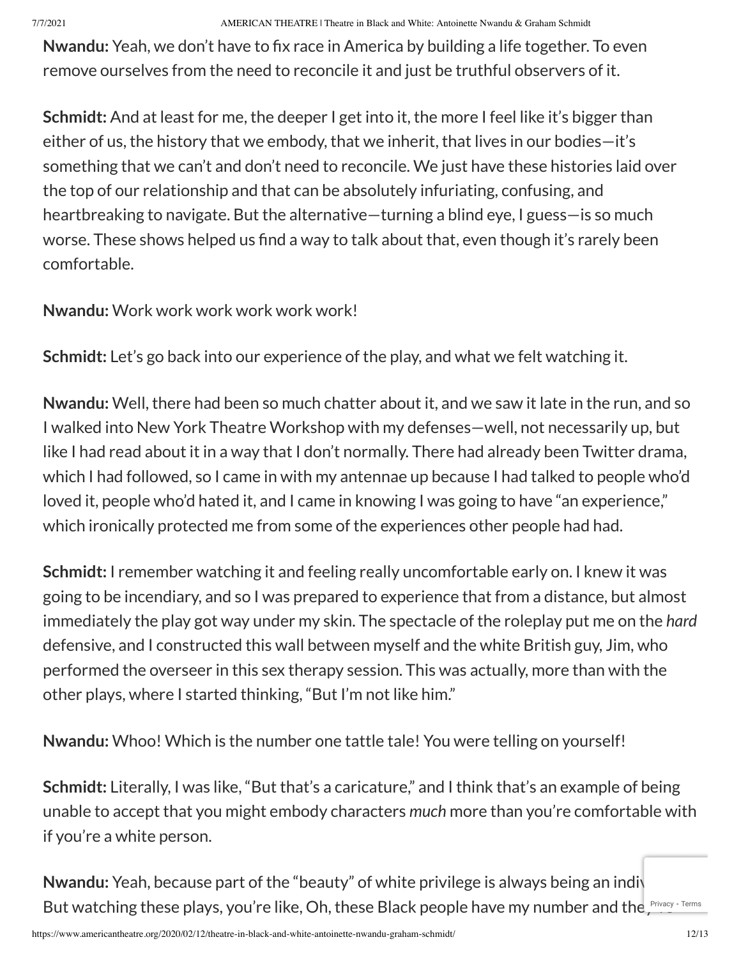**Nwandu:** Yeah, we don't have to fix race in America by building a life together. To even remove ourselves from the need to reconcile it and just be truthful observers of it.

**Schmidt:** And at least for me, the deeper I get into it, the more I feel like it's bigger than either of us, the history that we embody, that we inherit, that lives in our bodies—it's something that we can't and don't need to reconcile. We just have these histories laid over the top of our relationship and that can be absolutely infuriating, confusing, and heartbreaking to navigate. But the alternative—turning a blind eye, I guess—is so much worse. These shows helped us find a way to talk about that, even though it's rarely been comfortable.

**Nwandu:** Work work work work work work!

**Schmidt:** Let's go back into our experience of the play, and what we felt watching it.

**Nwandu:** Well, there had been so much chatter about it, and we saw it late in the run, and so I walked into New York Theatre Workshop with my defenses—well, not necessarily up, but like I had read about it in a way that I don't normally. There had already been Twitter drama, which I had followed, so I came in with my antennae up because I had talked to people who'd loved it, people who'd hated it, and I came in knowing I was going to have "an experience," which ironically protected me from some of the experiences other people had had.

**Schmidt:** I remember watching it and feeling really uncomfortable early on. I knew it was going to be incendiary, and so I was prepared to experience that from a distance, but almost immediately the play got way under my skin. The spectacle of the roleplay put me on the *hard* defensive, and I constructed this wall between myself and the white British guy, Jim, who performed the overseer in this sex therapy session. This was actually, more than with the other plays, where I started thinking, "But I'm not like him."

**Nwandu:** Whoo! Which is the number one tattle tale! You were telling on yourself!

**Schmidt:** Literally, I was like, "But that's a caricature," and I think that's an example of being unable to accept that you might embody characters *much* more than you're comfortable with if you're a white person.

Nwandu: Yeah, because part of the "beauty" of white privilege is always being an individual. But watching these plays, you're like, Oh, these Black people have my number and the *Privacy* - [Terms](https://www.google.com/intl/en/policies/terms/)